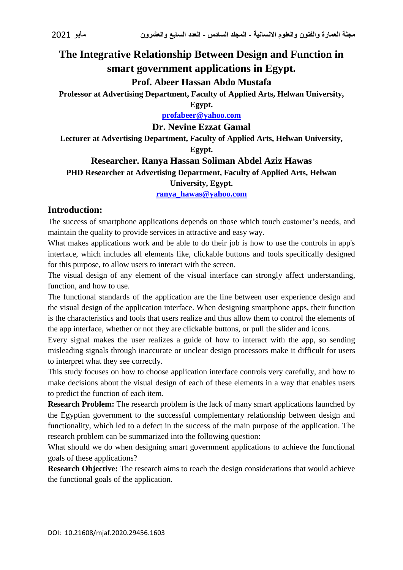# **The Integrative Relationship Between Design and Function in smart government applications in Egypt.**

# **Prof. Abeer Hassan Abdo Mustafa**

**Professor at Advertising Department, Faculty of Applied Arts, Helwan University,** 

**Egypt.**

**[profabeer@yahoo.com](mailto:profabeer@yahoo.com)**

**Dr. Nevine Ezzat Gamal**

**Lecturer at Advertising Department, Faculty of Applied Arts, Helwan University,** 

# **Egypt.**

# **Researcher. Ranya Hassan Soliman Abdel Aziz Hawas**

# **PHD Researcher at Advertising Department, Faculty of Applied Arts, Helwan**

#### **University, Egypt.**

**[ranya\\_hawas@yahoo.com](mailto:ranya_hawas@yahoo.com)**

### **Introduction:**

The success of smartphone applications depends on those which touch customer's needs, and maintain the quality to provide services in attractive and easy way.

What makes applications work and be able to do their job is how to use the controls in app's interface, which includes all elements like, clickable buttons and tools specifically designed for this purpose, to allow users to interact with the screen.

The visual design of any element of the visual interface can strongly affect understanding, function, and how to use.

The functional standards of the application are the line between user experience design and the visual design of the application interface. When designing smartphone apps, their function is the characteristics and tools that users realize and thus allow them to control the elements of the app interface, whether or not they are clickable buttons, or pull the slider and icons.

Every signal makes the user realizes a guide of how to interact with the app, so sending misleading signals through inaccurate or unclear design processors make it difficult for users to interpret what they see correctly.

This study focuses on how to choose application interface controls very carefully, and how to make decisions about the visual design of each of these elements in a way that enables users to predict the function of each item.

**Research Problem:** The research problem is the lack of many smart applications launched by the Egyptian government to the successful complementary relationship between design and functionality, which led to a defect in the success of the main purpose of the application. The research problem can be summarized into the following question:

What should we do when designing smart government applications to achieve the functional goals of these applications?

**Research Objective:** The research aims to reach the design considerations that would achieve the functional goals of the application.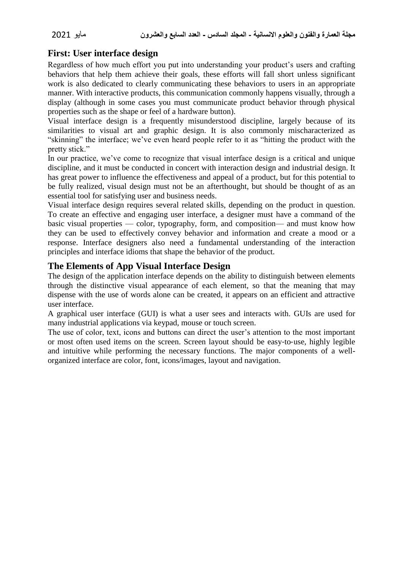# **First: User interface design**

Regardless of how much effort you put into understanding your product's users and crafting behaviors that help them achieve their goals, these efforts will fall short unless significant work is also dedicated to clearly communicating these behaviors to users in an appropriate manner. With interactive products, this communication commonly happens visually, through a display (although in some cases you must communicate product behavior through physical properties such as the shape or feel of a hardware button).

Visual interface design is a frequently misunderstood discipline, largely because of its similarities to visual art and graphic design. It is also commonly mischaracterized as "skinning" the interface; we've even heard people refer to it as "hitting the product with the pretty stick."

In our practice, we've come to recognize that visual interface design is a critical and unique discipline, and it must be conducted in concert with interaction design and industrial design. It has great power to influence the effectiveness and appeal of a product, but for this potential to be fully realized, visual design must not be an afterthought, but should be thought of as an essential tool for satisfying user and business needs.

Visual interface design requires several related skills, depending on the product in question. To create an effective and engaging user interface, a designer must have a command of the basic visual properties — color, typography, form, and composition— and must know how they can be used to effectively convey behavior and information and create a mood or a response. Interface designers also need a fundamental understanding of the interaction principles and interface idioms that shape the behavior of the product.

### **The Elements of App Visual Interface Design**

The design of the application interface depends on the ability to distinguish between elements through the distinctive visual appearance of each element, so that the meaning that may dispense with the use of words alone can be created, it appears on an efficient and attractive user interface.

A graphical user interface (GUI) is what a user sees and interacts with. GUIs are used for many industrial applications via keypad, mouse or touch screen.

The use of color, text, icons and buttons can direct the user's attention to the most important or most often used items on the screen. Screen layout should be easy‐to‐use, highly legible and intuitive while performing the necessary functions. The major components of a wellorganized interface are color, font, icons/images, layout and navigation.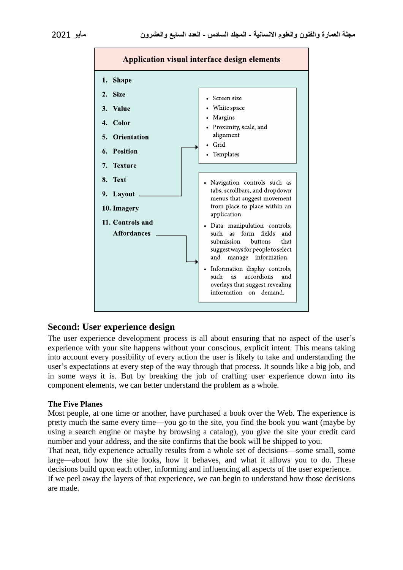

#### **Second: User experience design**

The user experience development process is all about ensuring that no aspect of the user's experience with your site happens without your conscious, explicit intent. This means taking into account every possibility of every action the user is likely to take and understanding the user's expectations at every step of the way through that process. It sounds like a big job, and in some ways it is. But by breaking the job of crafting user experience down into its component elements, we can better understand the problem as a whole.

#### **The Five Planes**

Most people, at one time or another, have purchased a book over the Web. The experience is pretty much the same every time—you go to the site, you find the book you want (maybe by using a search engine or maybe by browsing a catalog), you give the site your credit card number and your address, and the site confirms that the book will be shipped to you.

That neat, tidy experience actually results from a whole set of decisions—some small, some large—about how the site looks, how it behaves, and what it allows you to do. These decisions build upon each other, informing and influencing all aspects of the user experience.

If we peel away the layers of that experience, we can begin to understand how those decisions are made.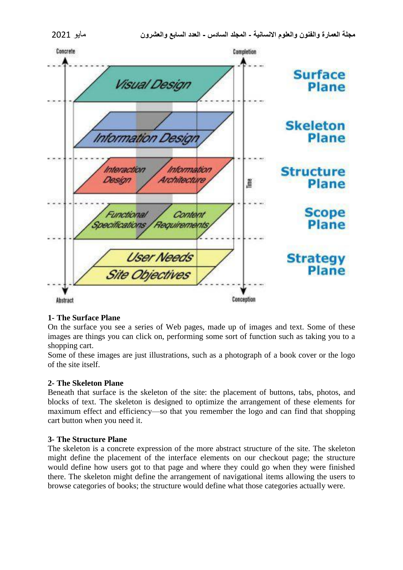

#### **1- The Surface Plane**

On the surface you see a series of Web pages, made up of images and text. Some of these images are things you can click on, performing some sort of function such as taking you to a shopping cart.

Some of these images are just illustrations, such as a photograph of a book cover or the logo of the site itself.

#### **2- The Skeleton Plane**

Beneath that surface is the skeleton of the site: the placement of buttons, tabs, photos, and blocks of text. The skeleton is designed to optimize the arrangement of these elements for maximum effect and efficiency—so that you remember the logo and can find that shopping cart button when you need it.

#### **3- The Structure Plane**

The skeleton is a concrete expression of the more abstract structure of the site. The skeleton might define the placement of the interface elements on our checkout page; the structure would define how users got to that page and where they could go when they were finished there. The skeleton might define the arrangement of navigational items allowing the users to browse categories of books; the structure would define what those categories actually were.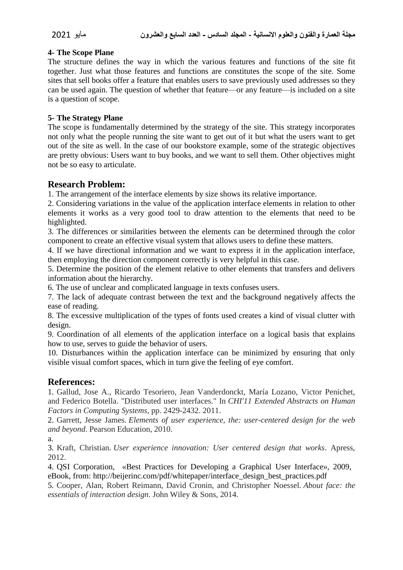#### **4- The Scope Plane**

The structure defines the way in which the various features and functions of the site fit together. Just what those features and functions are constitutes the scope of the site. Some sites that sell books offer a feature that enables users to save previously used addresses so they can be used again. The question of whether that feature—or any feature—is included on a site is a question of scope.

#### **5- The Strategy Plane**

The scope is fundamentally determined by the strategy of the site. This strategy incorporates not only what the people running the site want to get out of it but what the users want to get out of the site as well. In the case of our bookstore example, some of the strategic objectives are pretty obvious: Users want to buy books, and we want to sell them. Other objectives might not be so easy to articulate.

### **Research Problem:**

1. The arrangement of the interface elements by size shows its relative importance.

2. Considering variations in the value of the application interface elements in relation to other elements it works as a very good tool to draw attention to the elements that need to be highlighted.

3. The differences or similarities between the elements can be determined through the color component to create an effective visual system that allows users to define these matters.

4. If we have directional information and we want to express it in the application interface, then employing the direction component correctly is very helpful in this case.

5. Determine the position of the element relative to other elements that transfers and delivers information about the hierarchy.

6. The use of unclear and complicated language in texts confuses users.

7. The lack of adequate contrast between the text and the background negatively affects the ease of reading.

8. The excessive multiplication of the types of fonts used creates a kind of visual clutter with design.

9. Coordination of all elements of the application interface on a logical basis that explains how to use, serves to guide the behavior of users.

10. Disturbances within the application interface can be minimized by ensuring that only visible visual comfort spaces, which in turn give the feeling of eye comfort.

#### **References:**

1. Gallud, Jose A., Ricardo Tesoriero, Jean Vanderdonckt, María Lozano, Victor Penichet, and Federico Botella. "Distributed user interfaces." In *CHI'11 Extended Abstracts on Human Factors in Computing Systems*, pp. 2429-2432. 2011.

2. Garrett, Jesse James. *Elements of user experience, the: user-centered design for the web and beyond*. Pearson Education, 2010.

a.

3. Kraft, Christian. *User experience innovation: User centered design that works*. Apress, 2012.

4. QSI Corporation, «Best Practices for Developing a Graphical User Interface», 2009, eBook, from: http://beijerinc.com/pdf/whitepaper/interface\_design\_best\_practices.pdf

5. Cooper, Alan, Robert Reimann, David Cronin, and Christopher Noessel. *About face: the essentials of interaction design*. John Wiley & Sons, 2014.